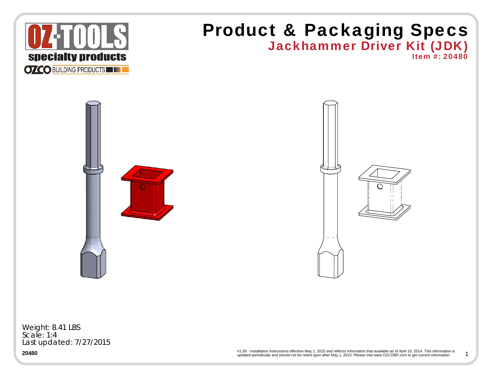

Last updated: 7/27/2015

**20480**

updated periodically and should not be relied upon after May 1, 2015. Please visit www.OZCOBP.com to get current information V1.00 - Installation Instructions effective May 1, 2015 and reflects information that available as of April 10, 2014. This information is 1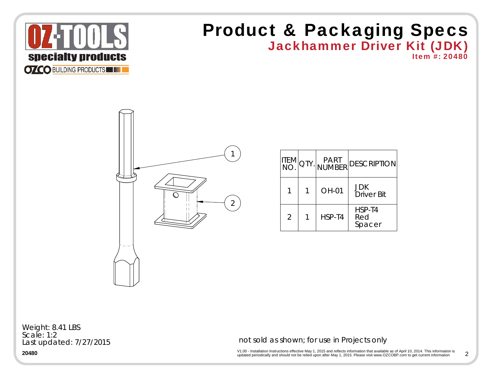

## Jackhammer Driver Kit (JDK) Product & Packaging Specs





| ITEM<br>NO.    |        | QTY. PART DESCRIPTION           |
|----------------|--------|---------------------------------|
|                | OH-01  | <b>JDK</b><br><b>Driver Bit</b> |
| $\overline{2}$ | HSP-T4 | HSP-T4<br>Red<br>Spacer         |

Last updated: 7/27/2015 Weight: 8.41 LBS Scale: 1:2

not sold as shown; for use in Projects only

 $\mathsf{V1.00}$  - Installation Instructions effective May 1, 2015 and reflects information that available as of April 10, 2014. This information is<br>updated periodically and should not be relied upon after May 1, 2015. Please 2

**20480**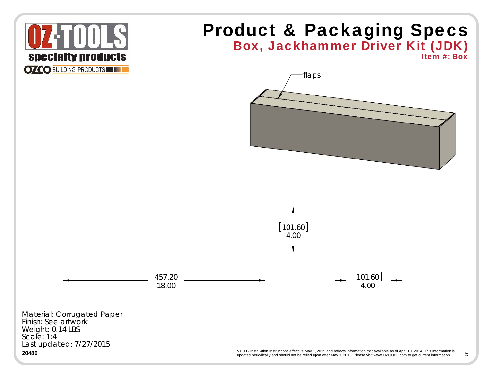

## Box, Jackhammer Driver Kit (JDK) Product & Packaging Specs

Item #: Box



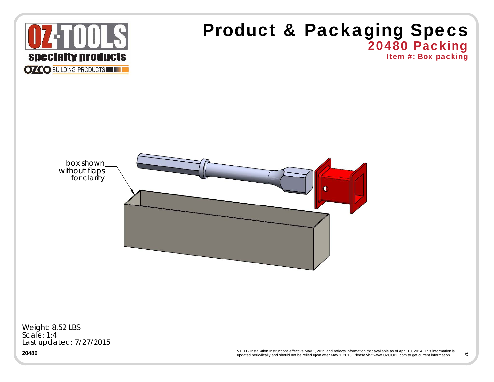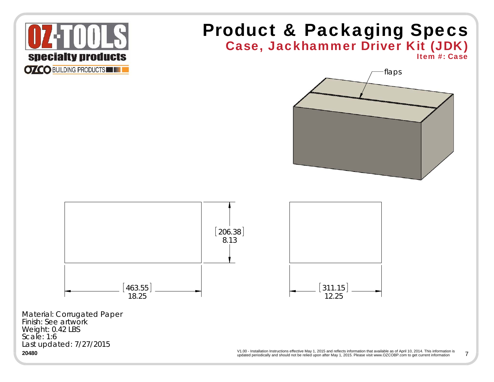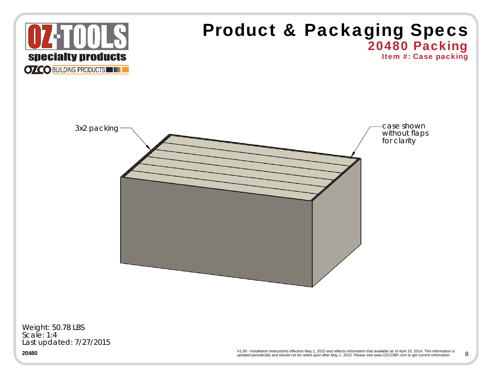